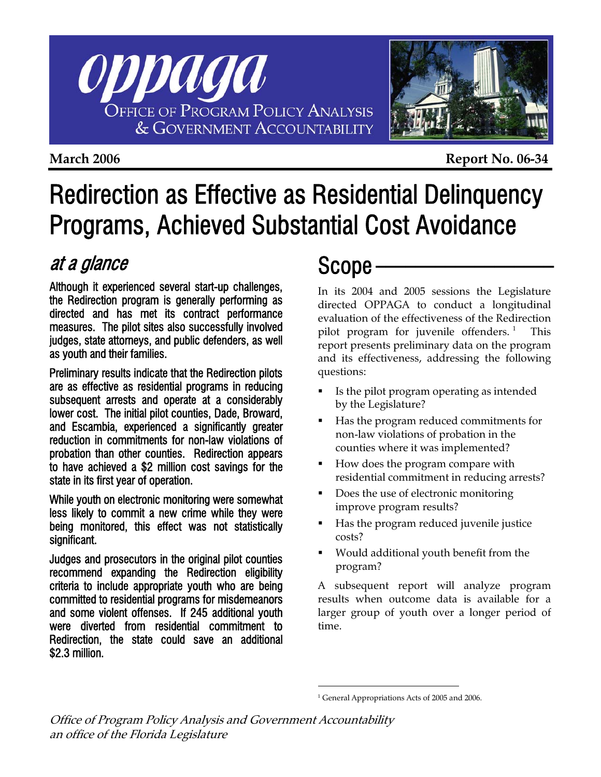



**March 2006** Report No. 06-34

# Redirection as Effective as Residential Delinquency Programs, Achieved Substantial Cost Avoidance

## at a glance

Although it experienced several start-up challenges, the Redirection program is generally performing as directed and has met its contract performance measures. The pilot sites also successfully involved judges, state attorneys, and public defenders, as well as youth and their families.

Preliminary results indicate that the Redirection pilots are as effective as residential programs in reducing subsequent arrests and operate at a considerably lower cost. The initial pilot counties, Dade, Broward, and Escambia, experienced a significantly greater reduction in commitments for non-law violations of probation than other counties. Redirection appears to have achieved a \$2 million cost savings for the state in its first year of operation.

While youth on electronic monitoring were somewhat less likely to commit a new crime while they were being monitored, this effect was not statistically significant.

<span id="page-0-0"></span>Judges and prosecutors in the original pilot counties recommend expanding the Redirection eligibility criteria to include appropriate youth who are being committed to residential programs for misdemeanors and some violent offenses. If 245 additional youth were diverted from residential commitment to Redirection, the state could save an additional \$2.3 million.

## Scope -

In its 2004 and 2005 sessions the Legislature directed OPPAGA to conduct a longitudinal evaluation of the effectiveness of the Redirection pilot program for juvenile offenders.<sup>[1](#page-0-0)</sup> This report presents preliminary data on the program and its effectiveness, addressing the following questions:

- If Is the pilot program operating as intended by the Legislature?
- Has the program reduced commitments for non-law violations of probation in the counties where it was implemented?
- How does the program compare with residential commitment in reducing arrests?
- Does the use of electronic monitoring improve program results?
- Has the program reduced juvenile justice costs?
- Would additional youth benefit from the program?

A subsequent report will analyze program results when outcome data is available for a larger group of youth over a longer period of time.

<sup>&</sup>lt;sup>1</sup> General Appropriations Acts of 2005 and 2006.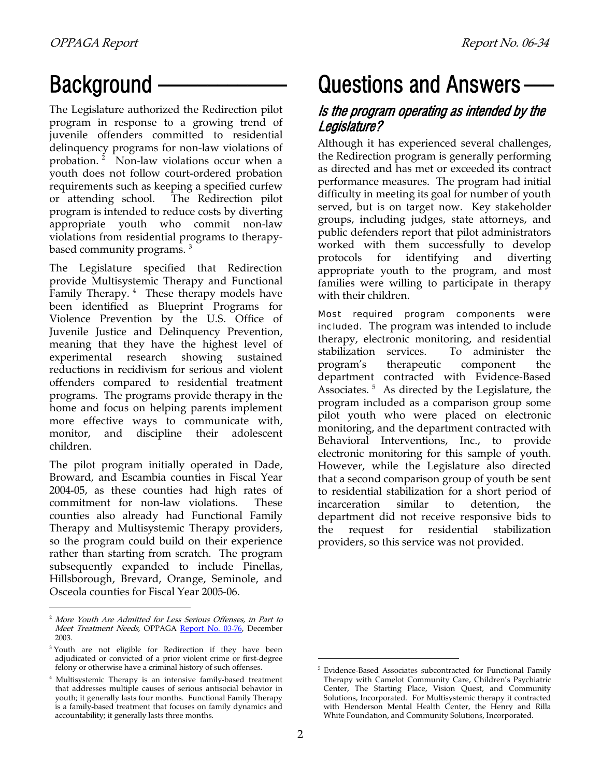## Background -

The Legislature authorized the Redirection pilot program in response to a growing trend of juvenile offenders committed to residential delinquency programs for non-law violations of probation.<sup>[2](#page-1-0)</sup> Non-law violations occur when a youth does not follow court-ordered probation requirements such as keeping a specified curfew or attending school. The Redirection pilot program is intended to reduce costs by diverting appropriate youth who commit non-law violations from residential programs to therapy-based community programs.<sup>[3](#page-1-1)</sup>

The Legislature specified that Redirection provide Multisystemic Therapy and Functional Family Therapy.<sup>[4](#page-1-2)</sup> These therapy models have been identified as Blueprint Programs for Violence Prevention by the U.S. Office of Juvenile Justice and Delinquency Prevention, meaning that they have the highest level of experimental research showing sustained reductions in recidivism for serious and violent offenders compared to residential treatment programs. The programs provide therapy in the home and focus on helping parents implement more effective ways to communicate with, monitor, and discipline their adolescent children.

The pilot program initially operated in Dade, Broward, and Escambia counties in Fiscal Year 2004-05, as these counties had high rates of commitment for non-law violations. These counties also already had Functional Family Therapy and Multisystemic Therapy providers, so the program could build on their experience rather than starting from scratch. The program subsequently expanded to include Pinellas, Hillsborough, Brevard, Orange, Seminole, and Osceola counties for Fiscal Year 2005-06.

l

## Questions and Answers —

## Is the program operating as intended by the Legislature?

Although it has experienced several challenges, the Redirection program is generally performing as directed and has met or exceeded its contract performance measures. The program had initial difficulty in meeting its goal for number of youth served, but is on target now. Key stakeholder groups, including judges, state attorneys, and public defenders report that pilot administrators worked with them successfully to develop protocols for identifying and diverting appropriate youth to the program, and most families were willing to participate in therapy with their children.

Most required program components were included. The program was intended to include therapy, electronic monitoring, and residential stabilization services. To administer the program's therapeutic component the department contracted with Evidence-Based Associates.<sup>[5](#page-1-3)</sup> As directed by the Legislature, the program included as a comparison group some pilot youth who were placed on electronic monitoring, and the department contracted with Behavioral Interventions, Inc., to provide electronic monitoring for this sample of youth. However, while the Legislature also directed that a second comparison group of youth be sent to residential stabilization for a short period of incarceration similar to detention, the department did not receive responsive bids to the request for residential stabilization providers, so this service was not provided.

<span id="page-1-0"></span><sup>&</sup>lt;sup>2</sup> More Youth Are Admitted for Less Serious Offenses, in Part to Meet Treatment Needs, OPPAGA [Report No. 03-76](http://www.oppaga.state.fl.us/reports/crime/r03-76s.html), December 2003.

<span id="page-1-1"></span><sup>&</sup>lt;sup>3</sup> Youth are not eligible for Redirection if they have been adjudicated or convicted of a prior violent crime or first-degree felony or otherwise have a criminal history of such offenses.

<span id="page-1-3"></span><span id="page-1-2"></span><sup>4</sup> Multisystemic Therapy is an intensive family-based treatment that addresses multiple causes of serious antisocial behavior in youth; it generally lasts four months. Functional Family Therapy is a family-based treatment that focuses on family dynamics and accountability; it generally lasts three months.

<sup>&</sup>lt;sup>5</sup> Evidence-Based Associates subcontracted for Functional Family Therapy with Camelot Community Care, Children's Psychiatric Center, The Starting Place, Vision Quest, and Community Solutions, Incorporated. For Multisystemic therapy it contracted with Henderson Mental Health Center, the Henry and Rilla White Foundation, and Community Solutions, Incorporated.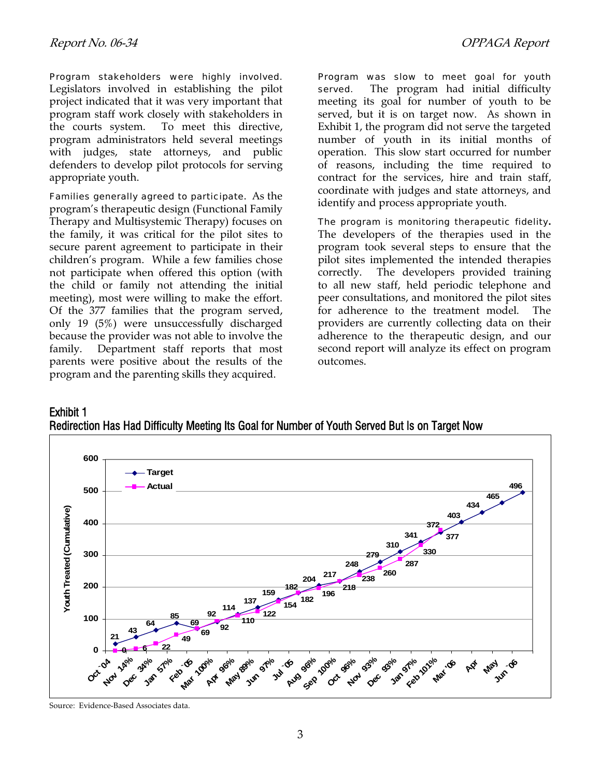Program stakeholders were highly involved. Legislators involved in establishing the pilot project indicated that it was very important that program staff work closely with stakeholders in the courts system. To meet this directive, program administrators held several meetings with judges, state attorneys, and public defenders to develop pilot protocols for serving appropriate youth.

Families generally agreed to participate. As the dentity and process appropriate youth. program's therapeutic design (Functional Family Therapy and Multisystemic Therapy) focuses on the family, it was critical for the pilot sites to secure parent agreement to participate in their children's program. While a few families chose not participate when offered this option (with the child or family not attending the initial meeting), most were willing to make the effort. Of the 377 families that the program served, only 19 (5%) were unsuccessfully discharged because the provider was not able to involve the family. Department staff reports that most parents were positive about the results of the program and the parenting skills they acquired.

Program was slow to meet goal for youth served. The program had initial difficulty meeting its goal for number of youth to be served, but it is on target now. As shown in Exhibit 1, the program did not serve the targeted number of youth in its initial months of operation. This slow start occurred for number of reasons, including the time required to contract for the services, hire and train staff, coordinate with judges and state attorneys, and

The program is monitoring therapeutic fidelity**.**  The developers of the therapies used in the program took several steps to ensure that the pilot sites implemented the intended therapies correctly. The developers provided training to all new staff, held periodic telephone and peer consultations, and monitored the pilot sites for adherence to the treatment model. The providers are currently collecting data on their adherence to the therapeutic design, and our second report will analyze its effect on program outcomes.





Source: Evidence-Based Associates data.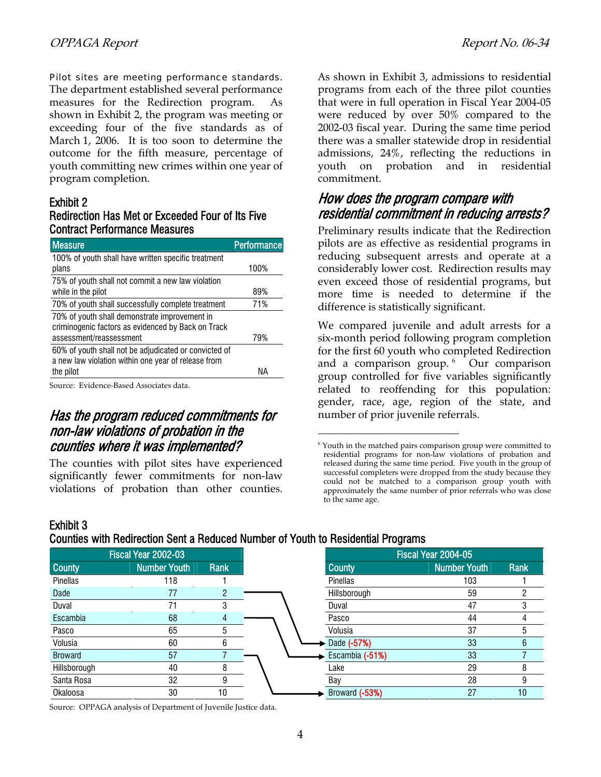#### Pilot sites are meeting performance standards.

The department established several performance measures for the Redirection program. As shown in Exhibit 2, the program was meeting or exceeding four of the five standards as of March 1, 2006. It is too soon to determine the outcome for the fifth measure, percentage of youth committing new crimes within one year of program completion.

#### Exhibit 2

Exhibit 3

#### Redirection Has Met or Exceeded Four of Its Five Contract Performance Measures

| <b>Measure</b>                                        | Performance |
|-------------------------------------------------------|-------------|
| 100% of youth shall have written specific treatment   |             |
| plans                                                 | 100%        |
| 75% of youth shall not commit a new law violation     |             |
| while in the pilot                                    | 89%         |
| 70% of youth shall successfully complete treatment    | 71%         |
| 70% of youth shall demonstrate improvement in         |             |
| criminogenic factors as evidenced by Back on Track    |             |
| assessment/reassessment                               | 79%         |
| 60% of youth shall not be adjudicated or convicted of |             |
| a new law violation within one year of release from   |             |
| the pilot                                             | NА          |
|                                                       |             |

Source: Evidence-Based Associates data.

### Has the program reduced commitments for non-law violations of probation in the counties where it was implemented?

<span id="page-3-0"></span>The counties with pilot sites have experienced significantly fewer commitments for non-law violations of probation than other counties. As shown in Exhibit 3, admissions to residential programs from each of the three pilot counties that were in full operation in Fiscal Year 2004-05 were reduced by over 50% compared to the 2002-03 fiscal year. During the same time period there was a smaller statewide drop in residential admissions, 24%, reflecting the reductions in youth on probation and in residential commitment.

### How does the program compare with residential commitment in reducing arrests?

Preliminary results indicate that the Redirection pilots are as effective as residential programs in reducing subsequent arrests and operate at a considerably lower cost. Redirection results may even exceed those of residential programs, but more time is needed to determine if the difference is statistically significant.

We compared juvenile and adult arrests for a six-month period following program completion for the first 60 youth who completed Redirection and a comparison group.<sup>[6](#page-3-0)</sup> Our comparison group controlled for five variables significantly related to reoffending for this population: gender, race, age, region of the state, and number of prior juvenile referrals.

<sup>&</sup>lt;sup>6</sup> Youth in the matched pairs comparison group were committed to residential programs for non-law violations of probation and released during the same time period. Five youth in the group of successful completers were dropped from the study because they could not be matched to a comparison group youth with approximately the same number of prior referrals who was close to the same age.

| Fiscal Year 2002-03 |                     |               |
|---------------------|---------------------|---------------|
| <b>County</b>       | <b>Number Youth</b> | <b>Rank</b>   |
| Pinellas            | 118                 |               |
| Dade                | 77                  | $\mathcal{P}$ |
| Duval               | 71                  | 3             |
| Escambia            | 68                  | 4             |
| Pasco               | 65                  | 5             |
| Volusia             | 60                  | 6             |
| <b>Broward</b>      | 57                  |               |
| Hillsborough        | 40                  | 8             |
| Santa Rosa          | 32                  | 9             |
| <b>Okaloosa</b>     | 30                  | 10            |

 $\overline{a}$ 

Counties with Redirection Sent a Reduced Number of Youth to Residential Programs

Source: OPPAGA analysis of Department of Juvenile Justice data.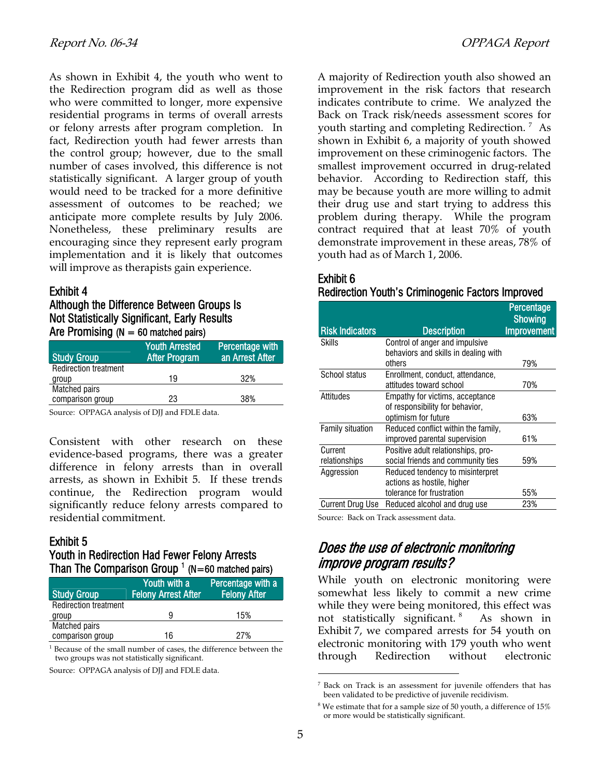As shown in Exhibit 4, the youth who went to the Redirection program did as well as those who were committed to longer, more expensive residential programs in terms of overall arrests or felony arrests after program completion. In fact, Redirection youth had fewer arrests than the control group; however, due to the small number of cases involved, this difference is not statistically significant. A larger group of youth would need to be tracked for a more definitive assessment of outcomes to be reached; we anticipate more complete results by July 2006. Nonetheless, these preliminary results are encouraging since they represent early program implementation and it is likely that outcomes will improve as therapists gain experience.

#### Exhibit 4

#### Although the Difference Between Groups Is Not Statistically Significant, Early Results Are Promising ( $N = 60$  matched pairs)

| <b>Study Group</b>           | <b>Youth Arrested</b><br>After Program | <b>Percentage with</b><br>an Arrest After |
|------------------------------|----------------------------------------|-------------------------------------------|
| <b>Redirection treatment</b> |                                        |                                           |
| group                        | 19                                     | 32%                                       |
| Matched pairs                |                                        |                                           |
| comparison group             | 23                                     | 38%                                       |

Source: OPPAGA analysis of DJJ and FDLE data.

Consistent with other research on these evidence-based programs, there was a greater difference in felony arrests than in overall arrests, as shown in Exhibit 5. If these trends continue, the Redirection program would significantly reduce felony arrests compared to residential commitment.

#### Exhibit 5

#### Youth in Redirection Had Fewer Felony Arrests Than The Comparison Group  $1$  (N=60 matched pairs)

| <b>Study Group</b>           | Youth with a<br><b>Felony Arrest After</b> | Percentage with a<br><b>Felony After</b> |
|------------------------------|--------------------------------------------|------------------------------------------|
| <b>Redirection treatment</b> |                                            |                                          |
| group                        | 9                                          | 15%                                      |
| <b>Matched pairs</b>         |                                            |                                          |
| comparison group             | 16                                         | 27%                                      |

1 Because of the small number of cases, the difference between the two groups was not statistically significant.

<span id="page-4-1"></span><span id="page-4-0"></span>Source: OPPAGA analysis of DJJ and FDLE data.

A majority of Redirection youth also showed an improvement in the risk factors that research indicates contribute to crime. We analyzed the Back on Track risk/needs assessment scores for youth starting and completing Redirection.<sup>[7](#page-4-0)</sup> As shown in Exhibit 6, a majority of youth showed improvement on these criminogenic factors. The smallest improvement occurred in drug-related behavior. According to Redirection staff, this may be because youth are more willing to admit their drug use and start trying to address this problem during therapy. While the program contract required that at least 70% of youth demonstrate improvement in these areas, 78% of youth had as of March 1, 2006.

#### Exhibit 6 Redirection Youth's Criminogenic Factors Improved

|                         |                                      | Percentage<br><b>Showing</b> |
|-------------------------|--------------------------------------|------------------------------|
| <b>Risk Indicators</b>  | <b>Description</b>                   | <b>Improvement</b>           |
| Skills                  | Control of anger and impulsive       |                              |
|                         | behaviors and skills in dealing with |                              |
|                         | others                               | 79%                          |
| School status           | Enrollment, conduct, attendance,     |                              |
|                         | attitudes toward school              | 70%                          |
| Attitudes               | Empathy for victims, acceptance      |                              |
|                         | of responsibility for behavior,      |                              |
|                         | optimism for future                  | 63%                          |
| <b>Family situation</b> | Reduced conflict within the family,  |                              |
|                         | improved parental supervision        | 61%                          |
| Current                 | Positive adult relationships, pro-   |                              |
| relationships           | social friends and community ties    | 59%                          |
| Aggression              | Reduced tendency to misinterpret     |                              |
|                         | actions as hostile, higher           |                              |
|                         | tolerance for frustration            | 55%                          |
| <b>Current Drug Use</b> | Reduced alcohol and drug use         | 23%                          |

Source: Back on Track assessment data.

### Does the use of electronic monitoring improve program results?

While youth on electronic monitoring were somewhat less likely to commit a new crime while they were being monitored, this effect was not statistically significant. [8](#page-4-1) As shown in Exhibit 7, we compared arrests for 54 youth on electronic monitoring with 179 youth who went through Redirection without electronic

<sup>7</sup> Back on Track is an assessment for juvenile offenders that has been validated to be predictive of juvenile recidivism.

 $8$  We estimate that for a sample size of 50 youth, a difference of  $15\%$ or more would be statistically significant.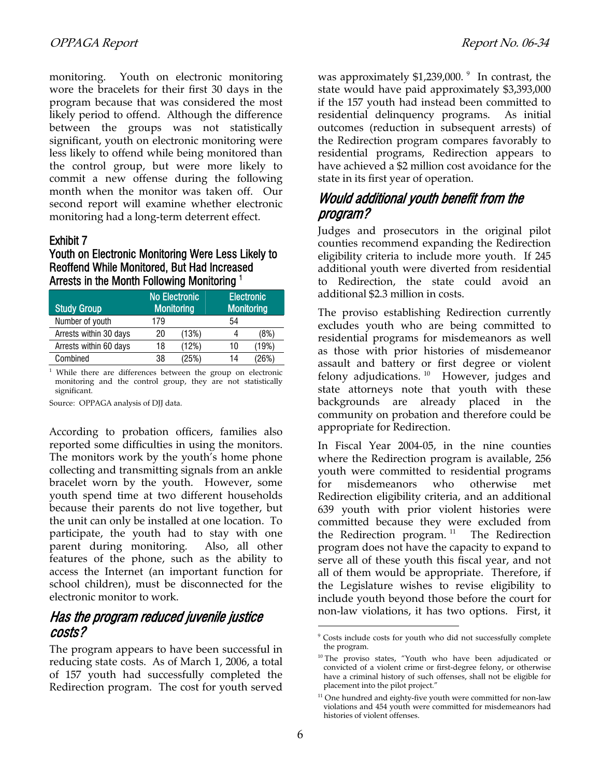monitoring. Youth on electronic monitoring wore the bracelets for their first 30 days in the program because that was considered the most likely period to offend. Although the difference between the groups was not statistically significant, youth on electronic monitoring were less likely to offend while being monitored than the control group, but were more likely to commit a new offense during the following month when the monitor was taken off. Our second report will examine whether electronic monitoring had a long-term deterrent effect.

#### Exhibit 7

#### Youth on Electronic Monitoring Were Less Likely to Reoffend While Monitored, But Had Increased Arrests in the Month Following Monitoring 1

| <b>Study Group</b>     | <b>No Electronic</b><br><b>Monitoring</b> |       | <b>Electronic</b><br><b>Monitoring</b> |       |
|------------------------|-------------------------------------------|-------|----------------------------------------|-------|
| Number of youth        | 179                                       |       | 54                                     |       |
| Arrests within 30 days | 20                                        | (13%) |                                        | (8%)  |
| Arrests within 60 days | 18                                        | (12%) | 10                                     | (19%) |
| Combined               | 38                                        | (25%) | 14                                     | (26%) |

<sup>1</sup> While there are differences between the group on electronic monitoring and the control group, they are not statistically significant.

Source: OPPAGA analysis of DJJ data.

According to probation officers, families also reported some difficulties in using the monitors. The monitors work by the youth's home phone collecting and transmitting signals from an ankle bracelet worn by the youth. However, some youth spend time at two different households because their parents do not live together, but the unit can only be installed at one location. To participate, the youth had to stay with one parent during monitoring. Also, all other features of the phone, such as the ability to access the Internet (an important function for school children), must be disconnected for the electronic monitor to work.

### Has the program reduced juvenile justice costs?

<span id="page-5-2"></span><span id="page-5-1"></span><span id="page-5-0"></span>The program appears to have been successful in reducing state costs. As of March 1, 2006, a total of 157 youth had successfully completed the Redirection program. The cost for youth served

was approximately \$1,23[9](#page-5-0),000.<sup>9</sup> In contrast, the state would have paid approximately \$3,393,000 if the 157 youth had instead been committed to residential delinquency programs. As initial outcomes (reduction in subsequent arrests) of the Redirection program compares favorably to residential programs, Redirection appears to have achieved a \$2 million cost avoidance for the state in its first year of operation.

### Would additional youth benefit from the program?

Judges and prosecutors in the original pilot counties recommend expanding the Redirection eligibility criteria to include more youth. If 245 additional youth were diverted from residential to Redirection, the state could avoid an additional \$2.3 million in costs.

The proviso establishing Redirection currently excludes youth who are being committed to residential programs for misdemeanors as well as those with prior histories of misdemeanor assault and battery or first degree or violent felony adjudications.  $10$  However, judges and state attorneys note that youth with these backgrounds are already placed in the community on probation and therefore could be appropriate for Redirection.

In Fiscal Year 2004-05, in the nine counties where the Redirection program is available, 256 youth were committed to residential programs for misdemeanors who otherwise met Redirection eligibility criteria, and an additional 639 youth with prior violent histories were committed because they were excluded from the Redirection program.<sup>[11](#page-5-2)</sup> The Redirection program does not have the capacity to expand to serve all of these youth this fiscal year, and not all of them would be appropriate. Therefore, if the Legislature wishes to revise eligibility to include youth beyond those before the court for non-law violations, it has two options. First, it

<sup>9</sup> Costs include costs for youth who did not successfully complete the program.

<sup>&</sup>lt;sup>10</sup> The proviso states, "Youth who have been adjudicated or convicted of a violent crime or first-degree felony, or otherwise have a criminal history of such offenses, shall not be eligible for placement into the pilot project."

 $11$  One hundred and eighty-five youth were committed for non-law violations and 454 youth were committed for misdemeanors had histories of violent offenses.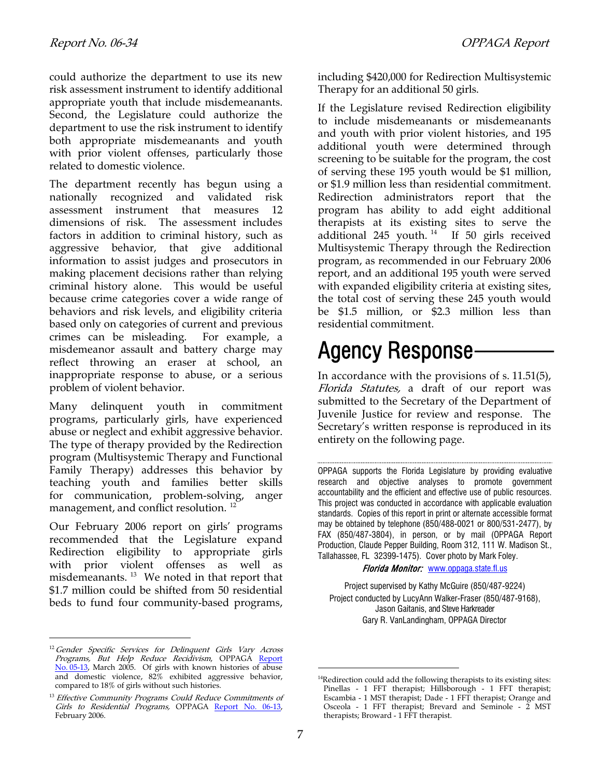could authorize the department to use its new risk assessment instrument to identify additional appropriate youth that include misdemeanants. Second, the Legislature could authorize the department to use the risk instrument to identify both appropriate misdemeanants and youth with prior violent offenses, particularly those related to domestic violence.

The department recently has begun using a nationally recognized and validated risk assessment instrument that measures 12 dimensions of risk. The assessment includes factors in addition to criminal history, such as aggressive behavior, that give additional information to assist judges and prosecutors in making placement decisions rather than relying criminal history alone. This would be useful because crime categories cover a wide range of behaviors and risk levels, and eligibility criteria based only on categories of current and previous crimes can be misleading. For example, a misdemeanor assault and battery charge may reflect throwing an eraser at school, an inappropriate response to abuse, or a serious problem of violent behavior.

Many delinquent youth in commitment programs, particularly girls, have experienced abuse or neglect and exhibit aggressive behavior. The type of therapy provided by the Redirection program (Multisystemic Therapy and Functional Family Therapy) addresses this behavior by teaching youth and families better skills for communication, problem-solving, anger management, and conflict resolution. [12](#page-6-0)

Our February 2006 report on girls' programs recommended that the Legislature expand Redirection eligibility to appropriate girls with prior violent offenses as well as misdemeanants. [13](#page-6-1) We noted in that report that \$1.7 million could be shifted from 50 residential beds to fund four community-based programs,

<span id="page-6-0"></span><sup>12</sup> Gender Specific Services for Delinquent Girls Vary Across *Programs, But Help Reduce Recidivism,* OPPAGA <u>Report</u> [No. 05-13](http://www.oppaga.state.fl.us/reports/crime/r05-13s.html), March 2005. Of girls with known histories of abuse and domestic violence, 82% exhibited aggressive behavior, compared to 18% of girls without such histories.

l

including \$420,000 for Redirection Multisystemic Therapy for an additional 50 girls.

If the Legislature revised Redirection eligibility to include misdemeanants or misdemeanants and youth with prior violent histories, and 195 additional youth were determined through screening to be suitable for the program, the cost of serving these 195 youth would be \$1 million, or \$1.9 million less than residential commitment. Redirection administrators report that the program has ability to add eight additional therapists at its existing sites to serve the additional 245 youth.  $14$  If 50 girls received Multisystemic Therapy through the Redirection program, as recommended in our February 2006 report, and an additional 195 youth were served with expanded eligibility criteria at existing sites, the total cost of serving these 245 youth would be \$1.5 million, or \$2.3 million less than residential commitment.

## Agency Response-

In accordance with the provisions of s. 11.51(5), Florida Statutes, a draft of our report was submitted to the Secretary of the Department of Juvenile Justice for review and response. The Secretary's written response is reproduced in its entirety on the following page.

OPPAGA supports the Florida Legislature by providing evaluative research and objective analyses to promote government accountability and the efficient and effective use of public resources. This project was conducted in accordance with applicable evaluation standards. Copies of this report in print or alternate accessible format may be obtained by telephone (850/488-0021 or 800/531-2477), by FAX (850/487-3804), in person, or by mail (OPPAGA Report Production, Claude Pepper Building, Room 312, 111 W. Madison St., Tallahassee, FL 32399-1475). Cover photo by Mark Foley.

Florida Monitor: [www.oppaga.state.fl.us](http://www.oppaga.state.fl.us/)

Project supervised by Kathy McGuire (850/487-9224) Project conducted by LucyAnn Walker-Fraser (850/487-9168), Jason Gaitanis, and Steve Harkreader Gary R. VanLandingham, OPPAGA Director

<span id="page-6-2"></span><span id="page-6-1"></span><sup>&</sup>lt;sup>13</sup> Effective Community Programs Could Reduce Commitments of Girls to Residential Programs, OPPAGA [Report No. 06-13](http://www.oppaga.state.fl.us/reports/crime/r06-13s.html), February 2006.

<sup>&</sup>lt;sup>14</sup>Redirection could add the following therapists to its existing sites: Pinellas - 1 FFT therapist; Hillsborough - 1 FFT therapist; Escambia - 1 MST therapist; Dade - 1 FFT therapist; Orange and Osceola - 1 FFT therapist; Brevard and Seminole - 2 MST therapists; Broward - 1 FFT therapist.